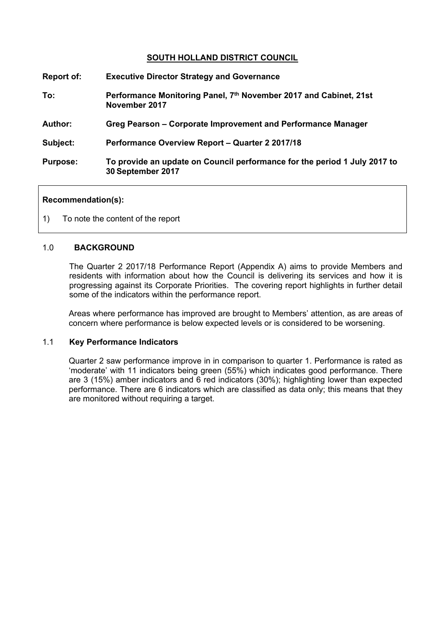## **SOUTH HOLLAND DISTRICT COUNCIL**

| Report of:      | <b>Executive Director Strategy and Governance</b>                                              |
|-----------------|------------------------------------------------------------------------------------------------|
| To:             | Performance Monitoring Panel, 7th November 2017 and Cabinet, 21st<br>November 2017             |
| <b>Author:</b>  | Greg Pearson – Corporate Improvement and Performance Manager                                   |
| Subject:        | Performance Overview Report - Quarter 2 2017/18                                                |
| <b>Purpose:</b> | To provide an update on Council performance for the period 1 July 2017 to<br>30 September 2017 |

#### **Recommendation(s):**

1) To note the content of the report

## 1.0 **BACKGROUND**

The Quarter 2 2017/18 Performance Report (Appendix A) aims to provide Members and residents with information about how the Council is delivering its services and how it is progressing against its Corporate Priorities. The covering report highlights in further detail some of the indicators within the performance report.

Areas where performance has improved are brought to Members' attention, as are areas of concern where performance is below expected levels or is considered to be worsening.

#### 1.1 **Key Performance Indicators**

Quarter 2 saw performance improve in in comparison to quarter 1. Performance is rated as 'moderate' with 11 indicators being green (55%) which indicates good performance. There are 3 (15%) amber indicators and 6 red indicators (30%); highlighting lower than expected performance. There are 6 indicators which are classified as data only; this means that they are monitored without requiring a target.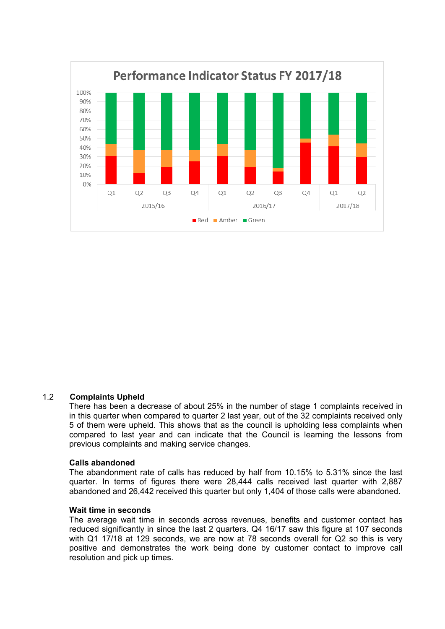

#### 1.2 **Complaints Upheld**

There has been a decrease of about 25% in the number of stage 1 complaints received in in this quarter when compared to quarter 2 last year, out of the 32 complaints received only 5 of them were upheld. This shows that as the council is upholding less complaints when compared to last year and can indicate that the Council is learning the lessons from previous complaints and making service changes.

#### **Calls abandoned**

The abandonment rate of calls has reduced by half from 10.15% to 5.31% since the last quarter. In terms of figures there were 28,444 calls received last quarter with 2,887 abandoned and 26,442 received this quarter but only 1,404 of those calls were abandoned.

#### **Wait time in seconds**

The average wait time in seconds across revenues, benefits and customer contact has reduced significantly in since the last 2 quarters. Q4 16/17 saw this figure at 107 seconds with Q1 17/18 at 129 seconds, we are now at 78 seconds overall for Q2 so this is very positive and demonstrates the work being done by customer contact to improve call resolution and pick up times.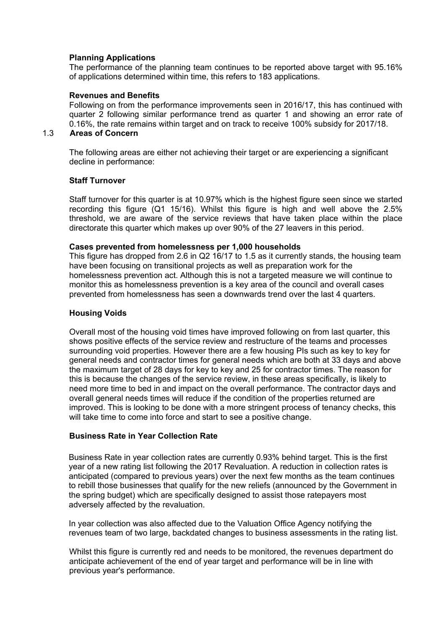#### **Planning Applications**

The performance of the planning team continues to be reported above target with 95.16% of applications determined within time, this refers to 183 applications.

#### **Revenues and Benefits**

Following on from the performance improvements seen in 2016/17, this has continued with quarter 2 following similar performance trend as quarter 1 and showing an error rate of 0.16%, the rate remains within target and on track to receive 100% subsidy for 2017/18.

## 1.3 **Areas of Concern**

The following areas are either not achieving their target or are experiencing a significant decline in performance:

#### **Staff Turnover**

Staff turnover for this quarter is at 10.97% which is the highest figure seen since we started recording this figure (Q1 15/16). Whilst this figure is high and well above the 2.5% threshold, we are aware of the service reviews that have taken place within the place directorate this quarter which makes up over 90% of the 27 leavers in this period.

#### **Cases prevented from homelessness per 1,000 households**

This figure has dropped from 2.6 in Q2 16/17 to 1.5 as it currently stands, the housing team have been focusing on transitional projects as well as preparation work for the homelessness prevention act. Although this is not a targeted measure we will continue to monitor this as homelessness prevention is a key area of the council and overall cases prevented from homelessness has seen a downwards trend over the last 4 quarters.

#### **Housing Voids**

Overall most of the housing void times have improved following on from last quarter, this shows positive effects of the service review and restructure of the teams and processes surrounding void properties. However there are a few housing PIs such as key to key for general needs and contractor times for general needs which are both at 33 days and above the maximum target of 28 days for key to key and 25 for contractor times. The reason for this is because the changes of the service review, in these areas specifically, is likely to need more time to bed in and impact on the overall performance. The contractor days and overall general needs times will reduce if the condition of the properties returned are improved. This is looking to be done with a more stringent process of tenancy checks, this will take time to come into force and start to see a positive change.

#### **Business Rate in Year Collection Rate**

Business Rate in year collection rates are currently 0.93% behind target. This is the first year of a new rating list following the 2017 Revaluation. A reduction in collection rates is anticipated (compared to previous years) over the next few months as the team continues to rebill those businesses that qualify for the new reliefs (announced by the Government in the spring budget) which are specifically designed to assist those ratepayers most adversely affected by the revaluation.

In year collection was also affected due to the Valuation Office Agency notifying the revenues team of two large, backdated changes to business assessments in the rating list.

Whilst this figure is currently red and needs to be monitored, the revenues department do anticipate achievement of the end of year target and performance will be in line with previous year's performance.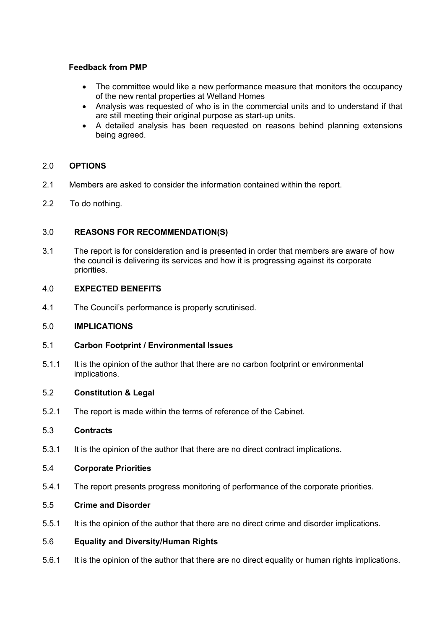## **Feedback from PMP**

- The committee would like a new performance measure that monitors the occupancy of the new rental properties at Welland Homes
- Analysis was requested of who is in the commercial units and to understand if that are still meeting their original purpose as start-up units.
- A detailed analysis has been requested on reasons behind planning extensions being agreed.

## 2.0 **OPTIONS**

- 2.1 Members are asked to consider the information contained within the report.
- 2.2 To do nothing.

## 3.0 **REASONS FOR RECOMMENDATION(S)**

3.1 The report is for consideration and is presented in order that members are aware of how the council is delivering its services and how it is progressing against its corporate priorities.

## 4.0 **EXPECTED BENEFITS**

4.1 The Council's performance is properly scrutinised.

## 5.0 **IMPLICATIONS**

- 5.1 **Carbon Footprint / Environmental Issues**
- 5.1.1 It is the opinion of the author that there are no carbon footprint or environmental implications.

## 5.2 **Constitution & Legal**

5.2.1 The report is made within the terms of reference of the Cabinet.

## 5.3 **Contracts**

5.3.1 It is the opinion of the author that there are no direct contract implications.

## 5.4 **Corporate Priorities**

5.4.1 The report presents progress monitoring of performance of the corporate priorities.

## 5.5 **Crime and Disorder**

5.5.1 It is the opinion of the author that there are no direct crime and disorder implications.

## 5.6 **Equality and Diversity/Human Rights**

5.6.1 It is the opinion of the author that there are no direct equality or human rights implications.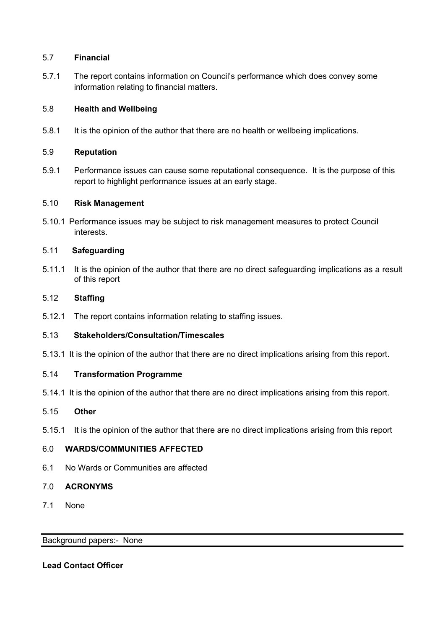## 5.7 **Financial**

5.7.1 The report contains information on Council's performance which does convey some information relating to financial matters.

## 5.8 **Health and Wellbeing**

5.8.1 It is the opinion of the author that there are no health or wellbeing implications.

## 5.9 **Reputation**

5.9.1 Performance issues can cause some reputational consequence. It is the purpose of this report to highlight performance issues at an early stage.

## 5.10 **Risk Management**

5.10.1 Performance issues may be subject to risk management measures to protect Council interests.

## 5.11 **Safeguarding**

5.11.1 It is the opinion of the author that there are no direct safeguarding implications as a result of this report

## 5.12 **Staffing**

5.12.1 The report contains information relating to staffing issues.

## 5.13 **Stakeholders/Consultation/Timescales**

5.13.1 It is the opinion of the author that there are no direct implications arising from this report.

## 5.14 **Transformation Programme**

5.14.1 It is the opinion of the author that there are no direct implications arising from this report.

## 5.15 **Other**

5.15.1 It is the opinion of the author that there are no direct implications arising from this report

# 6.0 **WARDS/COMMUNITIES AFFECTED**

6.1 No Wards or Communities are affected

## 7.0 **ACRONYMS**

7.1 None

## Background papers:- [None](file:///C:/Users/CharlottePaine/Democratic%20Services/Committee/Committee/Report%20Guide/2014/THE%20COMMITTEE%20REPORT%20GUIDE_JUNE%202014.doc)

## **Lead Contact Officer**